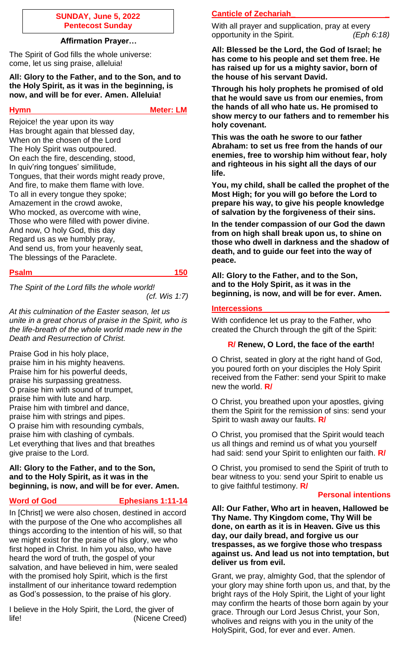### **SUNDAY, June 5, 2022 Pentecost Sunday**

## **Affirmation Prayer…**

The Spirit of God fills the whole universe: come, let us sing praise, alleluia!

**All: Glory to the Father, and to the Son, and to the Holy Spirit, as it was in the beginning, is now, and will be for ever. Amen. Alleluia!**

**Hymn** Meter: LM

Rejoice! the year upon its way Has brought again that blessed day, When on the chosen of the Lord The Holy Spirit was outpoured. On each the fire, descending, stood, In quiv'ring tongues' similitude, Tongues, that their words might ready prove, And fire, to make them flame with love. To all in every tongue they spoke; Amazement in the crowd awoke, Who mocked, as overcome with wine, Those who were filled with power divine. And now, O holy God, this day Regard us as we humbly pray, And send us, from your heavenly seat, The blessings of the Paraclete.

## **Psalm 150**

*The Spirit of the Lord fills the whole world! (cf. Wis 1:7)*

*At this culmination of the Easter season, let us unite in a great chorus of praise in the Spirit, who is the life-breath of the whole world made new in the Death and Resurrection of Christ.*

Praise God in his holy place, praise him in his mighty heavens. Praise him for his powerful deeds, praise his surpassing greatness. O praise him with sound of trumpet, praise him with lute and harp. Praise him with timbrel and dance, praise him with strings and pipes. O praise him with resounding cymbals, praise him with clashing of cymbals. Let everything that lives and that breathes give praise to the Lord.

### **All: Glory to the Father, and to the Son, and to the Holy Spirit, as it was in the beginning, is now, and will be for ever. Amen.**

## **Word of God Ephesians 1:11-14**

In [Christ] we were also chosen, destined in accord with the purpose of the One who accomplishes all things according to the intention of his will, so that we might exist for the praise of his glory, we who first hoped in Christ. In him you also, who have heard the word of truth, the gospel of your salvation, and have believed in him, were sealed with the promised holy Spirit, which is the first installment of our inheritance toward redemption as God's possession, to the praise of his glory.

I believe in the Holy Spirit, the Lord, the giver of life! (Nicene Creed)

# **Canticle of Zechariah\_ \_**

With all prayer and supplication, pray at every opportunity in the Spirit. *(Eph 6:18)*

**All: Blessed be the Lord, the God of Israel; he has come to his people and set them free. He has raised up for us a mighty savior, born of the house of his servant David.**

**Through his holy prophets he promised of old that he would save us from our enemies, from the hands of all who hate us. He promised to show mercy to our fathers and to remember his holy covenant.**

**This was the oath he swore to our father Abraham: to set us free from the hands of our enemies, free to worship him without fear, holy and righteous in his sight all the days of our life.**

**You, my child, shall be called the prophet of the Most High; for you will go before the Lord to prepare his way, to give his people knowledge of salvation by the forgiveness of their sins.**

**In the tender compassion of our God the dawn from on high shall break upon us, to shine on those who dwell in darkness and the shadow of death, and to guide our feet into the way of peace.**

**All: Glory to the Father, and to the Son, and to the Holy Spirit, as it was in the beginning, is now, and will be for ever. Amen.**

### **Intercessions \_**

With confidence let us pray to the Father, who created the Church through the gift of the Spirit:

## **R/ Renew, O Lord, the face of the earth!**

O Christ, seated in glory at the right hand of God, you poured forth on your disciples the Holy Spirit received from the Father: send your Spirit to make new the world. **R/**

O Christ, you breathed upon your apostles, giving them the Spirit for the remission of sins: send your Spirit to wash away our faults. **R/**

O Christ, you promised that the Spirit would teach us all things and remind us of what you yourself had said: send your Spirit to enlighten our faith. **R/**

O Christ, you promised to send the Spirit of truth to bear witness to you: send your Spirit to enable us to give faithful testimony. **R/**

### **Personal intentions**

**All: Our Father, Who art in heaven, Hallowed be Thy Name. Thy Kingdom come, Thy Will be done, on earth as it is in Heaven. Give us this day, our daily bread, and forgive us our trespasses, as we forgive those who trespass against us. And lead us not into temptation, but deliver us from evil.**

Grant, we pray, almighty God, that the splendor of your glory may shine forth upon us, and that, by the bright rays of the Holy Spirit, the Light of your light may confirm the hearts of those born again by your grace. Through our Lord Jesus Christ, your Son, wholives and reigns with you in the unity of the HolySpirit, God, for ever and ever. Amen.